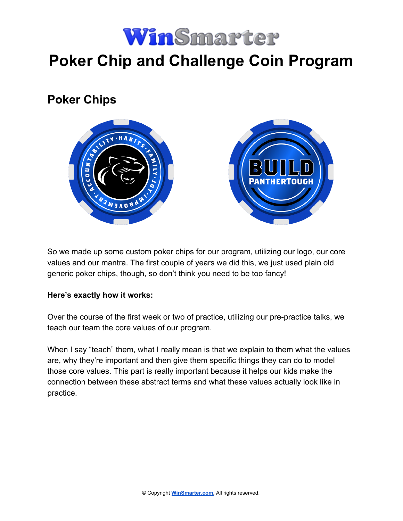

# **Poker Chip and Challenge Coin Program**

# **Poker Chips**



So we made up some custom poker chips for our program, utilizing our logo, our core values and our mantra. The first couple of years we did this, we just used plain old generic poker chips, though, so don't think you need to be too fancy!

#### **Here's exactly how it works:**

Over the course of the first week or two of practice, utilizing our pre-practice talks, we teach our team the core values of our program.

When I say "teach" them, what I really mean is that we explain to them what the values are, why they're important and then give them specific things they can do to model those core values. This part is really important because it helps our kids make the connection between these abstract terms and what these values actually look like in practice.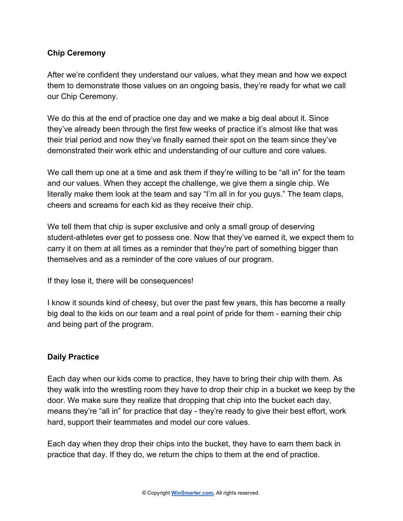## **Chip Ceremony**

After we're confident they understand our values, what they mean and how we expect them to demonstrate those values on an ongoing basis, they're ready for what we call our Chip Ceremony.

We do this at the end of practice one day and we make a big deal about it. Since they've already been through the first few weeks of practice it's almost like that was their trial period and now they've finally earned their spot on the team since they've demonstrated their work ethic and understanding of our culture and core values.

We call them up one at a time and ask them if they're willing to be "all in" for the team and our values. When they accept the challenge, we give them a single chip. We literally make them look at the team and say "I'm all in for you guys." The team claps, cheers and screams for each kid as they receive their chip.

We tell them that chip is super exclusive and only a small group of deserving student-athletes ever get to possess one. Now that they've earned it, we expect them to carry it on them at all times as a reminder that they're part of something bigger than themselves and as a reminder of the core values of our program.

If they lose it, there will be consequences!

I know it sounds kind of cheesy, but over the past few years, this has become a really big deal to the kids on our team and a real point of pride for them - earning their chip and being part of the program.

#### **Daily Practice**

Each day when our kids come to practice, they have to bring their chip with them. As they walk into the wrestling room they have to drop their chip in a bucket we keep by the door. We make sure they realize that dropping that chip into the bucket each day, means they're "all in" for practice that day - they're ready to give their best effort, work hard, support their teammates and model our core values.

Each day when they drop their chips into the bucket, they have to earn them back in practice that day. If they do, we return the chips to them at the end of practice.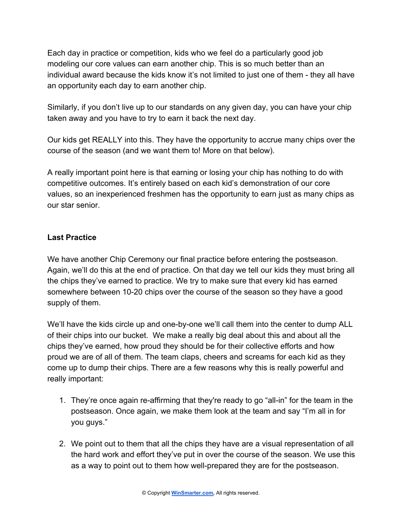Each day in practice or competition, kids who we feel do a particularly good job modeling our core values can earn another chip. This is so much better than an individual award because the kids know it's not limited to just one of them - they all have an opportunity each day to earn another chip.

Similarly, if you don't live up to our standards on any given day, you can have your chip taken away and you have to try to earn it back the next day.

Our kids get REALLY into this. They have the opportunity to accrue many chips over the course of the season (and we want them to! More on that below).

A really important point here is that earning or losing your chip has nothing to do with competitive outcomes. It's entirely based on each kid's demonstration of our core values, so an inexperienced freshmen has the opportunity to earn just as many chips as our star senior.

## **Last Practice**

We have another Chip Ceremony our final practice before entering the postseason. Again, we'll do this at the end of practice. On that day we tell our kids they must bring all the chips they've earned to practice. We try to make sure that every kid has earned somewhere between 10-20 chips over the course of the season so they have a good supply of them.

We'll have the kids circle up and one-by-one we'll call them into the center to dump ALL of their chips into our bucket. We make a really big deal about this and about all the chips they've earned, how proud they should be for their collective efforts and how proud we are of all of them. The team claps, cheers and screams for each kid as they come up to dump their chips. There are a few reasons why this is really powerful and really important:

- 1. They're once again re-affirming that they're ready to go "all-in" for the team in the postseason. Once again, we make them look at the team and say "I'm all in for you guys."
- 2. We point out to them that all the chips they have are a visual representation of all the hard work and effort they've put in over the course of the season. We use this as a way to point out to them how well-prepared they are for the postseason.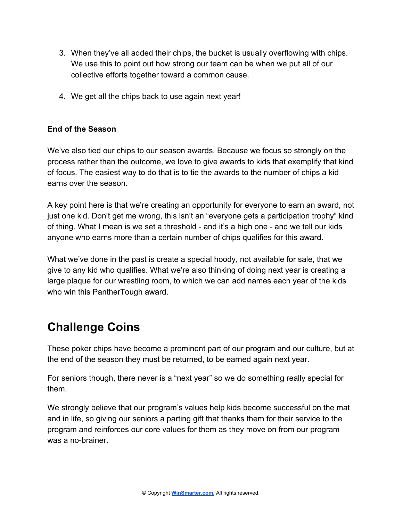- 3. When they've all added their chips, the bucket is usually overflowing with chips. We use this to point out how strong our team can be when we put all of our collective efforts together toward a common cause.
- 4. We get all the chips back to use again next year!

## **End of the Season**

We've also tied our chips to our season awards. Because we focus so strongly on the process rather than the outcome, we love to give awards to kids that exemplify that kind of focus. The easiest way to do that is to tie the awards to the number of chips a kid earns over the season.

A key point here is that we're creating an opportunity for everyone to earn an award, not just one kid. Don't get me wrong, this isn't an "everyone gets a participation trophy" kind of thing. What I mean is we set a threshold - and it's a high one - and we tell our kids anyone who earns more than a certain number of chips qualifies for this award.

What we've done in the past is create a special hoody, not available for sale, that we give to any kid who qualifies. What we're also thinking of doing next year is creating a large plaque for our wrestling room, to which we can add names each year of the kids who win this PantherTough award.

# **Challenge Coins**

These poker chips have become a prominent part of our program and our culture, but at the end of the season they must be returned, to be earned again next year.

For seniors though, there never is a "next year" so we do something really special for them.

We strongly believe that our program's values help kids become successful on the mat and in life, so giving our seniors a parting gift that thanks them for their service to the program and reinforces our core values for them as they move on from our program was a no-brainer.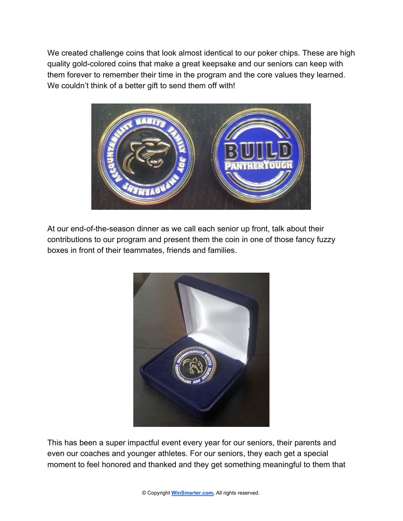We created challenge coins that look almost identical to our poker chips. These are high quality gold-colored coins that make a great keepsake and our seniors can keep with them forever to remember their time in the program and the core values they learned. We couldn't think of a better gift to send them off with!



At our end-of-the-season dinner as we call each senior up front, talk about their contributions to our program and present them the coin in one of those fancy fuzzy boxes in front of their teammates, friends and families.



This has been a super impactful event every year for our seniors, their parents and even our coaches and younger athletes. For our seniors, they each get a special moment to feel honored and thanked and they get something meaningful to them that